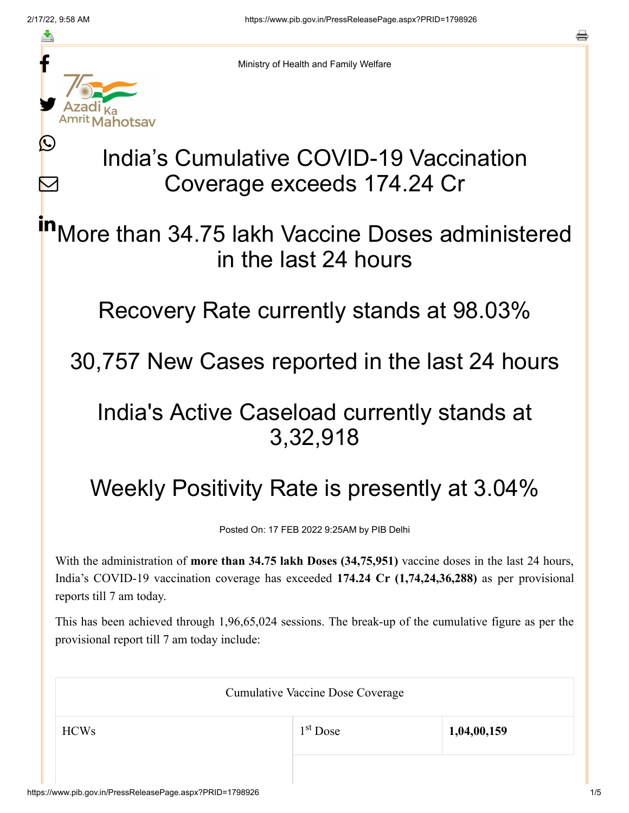≛

Ŀ

 $\bm{\nabla}$ 



Ministry of Health and Family Welfare

# India's Cumulative COVID-19 Vaccination Coverage exceeds 174.24 Cr

More than 34.75 lakh Vaccine Doses administered in the last 24 hours in

Recovery Rate currently stands at 98.03%

30,757 New Cases reported in the last 24 hours

### India's Active Caseload currently stands at 3,32,918

## Weekly Positivity Rate is presently at 3.04%

Posted On: 17 FEB 2022 9:25AM by PIB Delhi

With the administration of **more than 34.75 lakh Doses (34,75,951)** vaccine doses in the last 24 hours, India's COVID-19 vaccination coverage has exceeded **174.24 Cr (1,74,24,36,288)** as per provisional reports till 7 am today.

This has been achieved through 1,96,65,024 sessions. The break-up of the cumulative figure as per the provisional report till 7 am today include:

| <b>Cumulative Vaccine Dose Coverage</b> |                      |             |
|-----------------------------------------|----------------------|-------------|
| <b>HCWs</b>                             | 1 <sup>st</sup> Dose | 1,04,00,159 |
|                                         |                      |             |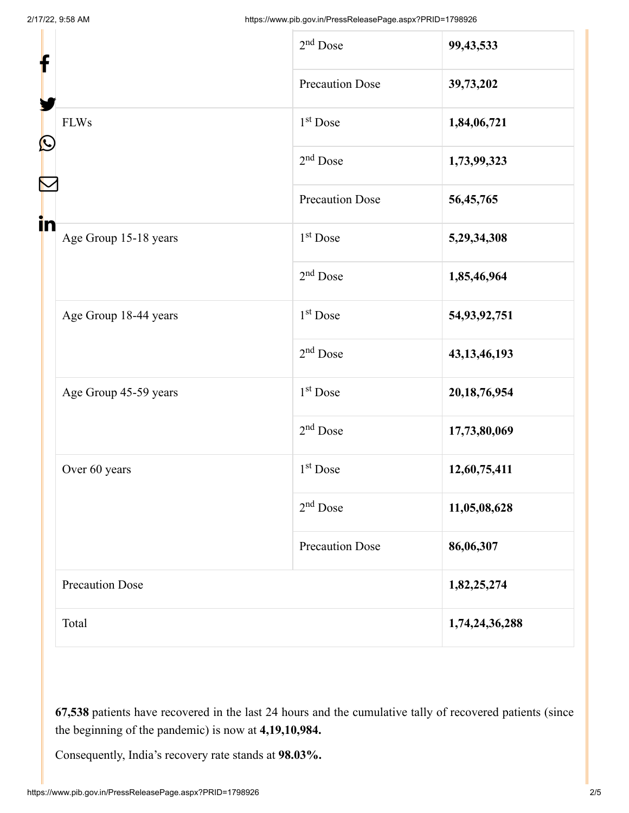| f<br>$\mathbf{\Omega}$ |                        | $2nd$ Dose             | 99,43,533       |
|------------------------|------------------------|------------------------|-----------------|
|                        |                        | <b>Precaution Dose</b> | 39,73,202       |
|                        | <b>FLWs</b>            | $1st$ Dose             | 1,84,06,721     |
|                        |                        | $2nd$ Dose             | 1,73,99,323     |
|                        |                        | <b>Precaution Dose</b> | 56,45,765       |
| in                     | Age Group 15-18 years  | 1 <sup>st</sup> Dose   | 5,29,34,308     |
|                        |                        | $2nd$ Dose             | 1,85,46,964     |
|                        | Age Group 18-44 years  | 1 <sup>st</sup> Dose   | 54,93,92,751    |
|                        |                        | $2nd$ Dose             | 43, 13, 46, 193 |
|                        | Age Group 45-59 years  | 1 <sup>st</sup> Dose   | 20, 18, 76, 954 |
|                        |                        | $2nd$ Dose             | 17,73,80,069    |
|                        | Over 60 years          | $1st$ Dose             | 12,60,75,411    |
|                        |                        | $2nd$ Dose             | 11,05,08,628    |
|                        |                        | <b>Precaution Dose</b> | 86,06,307       |
|                        | <b>Precaution Dose</b> |                        | 1,82,25,274     |
|                        | Total                  |                        | 1,74,24,36,288  |

**67,538** patients have recovered in the last 24 hours and the cumulative tally of recovered patients (since the beginning of the pandemic) is now at **4,19,10,984.**

Consequently, India's recovery rate stands at **98.03%.**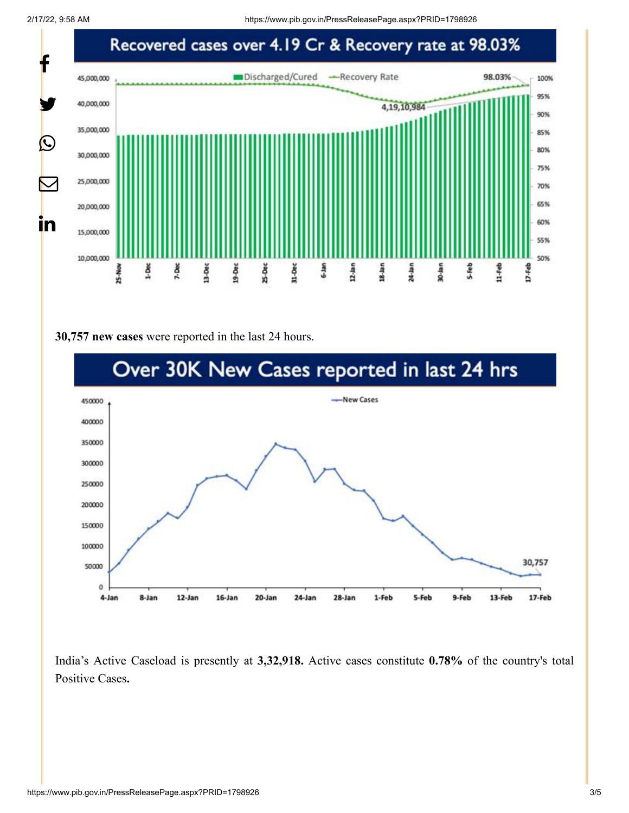

#### **30,757 new cases** were reported in the last 24 hours.



India's Active Caseload is presently at **3,32,918.** Active cases constitute **0.78%** of the country's total Positive Cases**.**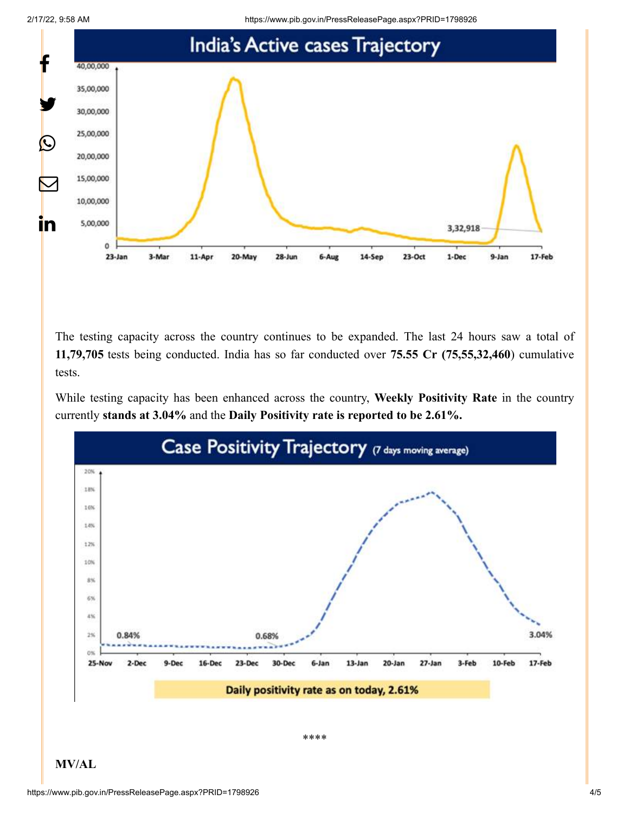



The testing capacity across the country continues to be expanded. The last 24 hours saw a total of **11,79,705** tests being conducted. India has so far conducted over **75.55 Cr (75,55,32,460**) cumulative tests.

While testing capacity has been enhanced across the country, **Weekly Positivity Rate** in the country currently **stands at 3.04%** and the **Daily Positivity rate is reported to be 2.61%.**



**MV/AL**